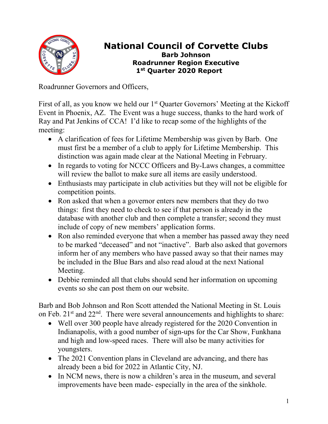

## **National Council of Corvette Clubs Barb Johnson Roadrunner Region Executive 1st Quarter 2020 Report**

Roadrunner Governors and Officers,

First of all, as you know we held our  $1<sup>st</sup>$  Quarter Governors' Meeting at the Kickoff Event in Phoenix, AZ. The Event was a huge success, thanks to the hard work of Ray and Pat Jenkins of CCA! I'd like to recap some of the highlights of the meeting:

- A clarification of fees for Lifetime Membership was given by Barb. One must first be a member of a club to apply for Lifetime Membership. This distinction was again made clear at the National Meeting in February.
- In regards to voting for NCCC Officers and By-Laws changes, a committee will review the ballot to make sure all items are easily understood.
- Enthusiasts may participate in club activities but they will not be eligible for competition points.
- Ron asked that when a governor enters new members that they do two things: first they need to check to see if that person is already in the database with another club and then complete a transfer; second they must include of copy of new members' application forms.
- Ron also reminded everyone that when a member has passed away they need to be marked "deceased" and not "inactive". Barb also asked that governors inform her of any members who have passed away so that their names may be included in the Blue Bars and also read aloud at the next National Meeting.
- Debbie reminded all that clubs should send her information on upcoming events so she can post them on our website.

Barb and Bob Johnson and Ron Scott attended the National Meeting in St. Louis on Feb.  $21^{st}$  and  $22^{nd}$ . There were several announcements and highlights to share:

- Well over 300 people have already registered for the 2020 Convention in Indianapolis, with a good number of sign-ups for the Car Show, Funkhana and high and low-speed races. There will also be many activities for youngsters.
- The 2021 Convention plans in Cleveland are advancing, and there has already been a bid for 2022 in Atlantic City, NJ.
- In NCM news, there is now a children's area in the museum, and several improvements have been made- especially in the area of the sinkhole.